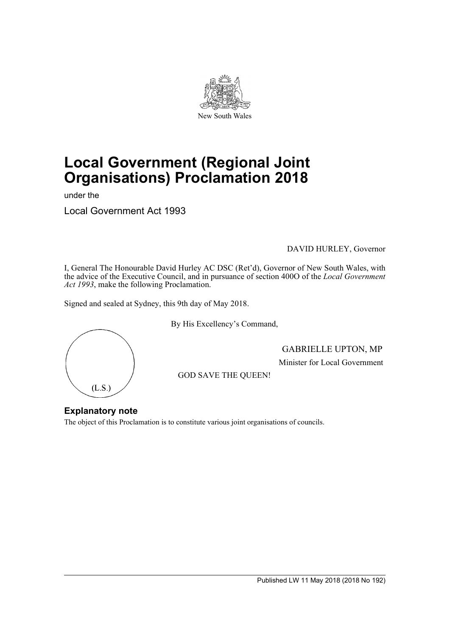

# **Local Government (Regional Joint Organisations) Proclamation 2018**

under the

Local Government Act 1993

### DAVID HURLEY, Governor

I, General The Honourable David Hurley AC DSC (Ret'd), Governor of New South Wales, with the advice of the Executive Council, and in pursuance of section 400O of the *Local Government Act 1993*, make the following Proclamation.

Signed and sealed at Sydney, this 9th day of May 2018.



By His Excellency's Command,

GABRIELLE UPTON, MP Minister for Local Government

GOD SAVE THE QUEEN!

## **Explanatory note**

The object of this Proclamation is to constitute various joint organisations of councils.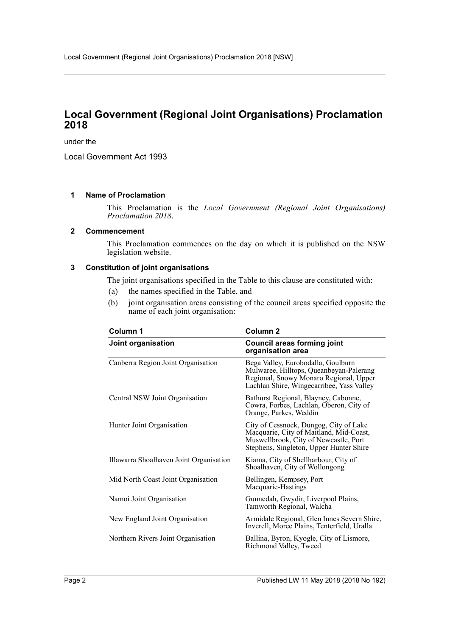# **Local Government (Regional Joint Organisations) Proclamation 2018**

under the

Local Government Act 1993

### **1 Name of Proclamation**

This Proclamation is the *Local Government (Regional Joint Organisations) Proclamation 2018*.

### **2 Commencement**

This Proclamation commences on the day on which it is published on the NSW legislation website.

### **3 Constitution of joint organisations**

The joint organisations specified in the Table to this clause are constituted with:

- (a) the names specified in the Table, and
- (b) joint organisation areas consisting of the council areas specified opposite the name of each joint organisation:

| Column 1                                | Column <sub>2</sub>                                                                                                                                                   |
|-----------------------------------------|-----------------------------------------------------------------------------------------------------------------------------------------------------------------------|
| Joint organisation                      | <b>Council areas forming joint</b><br>organisation area                                                                                                               |
| Canberra Region Joint Organisation      | Bega Valley, Eurobodalla, Goulburn<br>Mulwaree, Hilltops, Queanbeyan-Palerang<br>Regional, Snowy Monaro Regional, Upper<br>Lachlan Shire, Wingecarribee, Yass Valley  |
| Central NSW Joint Organisation          | Bathurst Regional, Blayney, Cabonne,<br>Cowra, Forbes, Lachlan, Oberon, City of<br>Orange, Parkes, Weddin                                                             |
| Hunter Joint Organisation               | City of Cessnock, Dungog, City of Lake<br>Macquarie, City of Maitland, Mid-Coast,<br>Muswellbrook, City of Newcastle, Port<br>Stephens, Singleton, Upper Hunter Shire |
| Illawarra Shoalhaven Joint Organisation | Kiama, City of Shellharbour, City of<br>Shoalhaven, City of Wollongong                                                                                                |
| Mid North Coast Joint Organisation      | Bellingen, Kempsey, Port<br>Macquarie-Hastings                                                                                                                        |
| Namoi Joint Organisation                | Gunnedah, Gwydir, Liverpool Plains,<br>Tamworth Regional, Walcha                                                                                                      |
| New England Joint Organisation          | Armidale Regional, Glen Innes Severn Shire,<br>Inverell, Moree Plains, Tenterfield, Uralla                                                                            |
| Northern Rivers Joint Organisation      | Ballina, Byron, Kyogle, City of Lismore,<br>Richmond Valley, Tweed                                                                                                    |